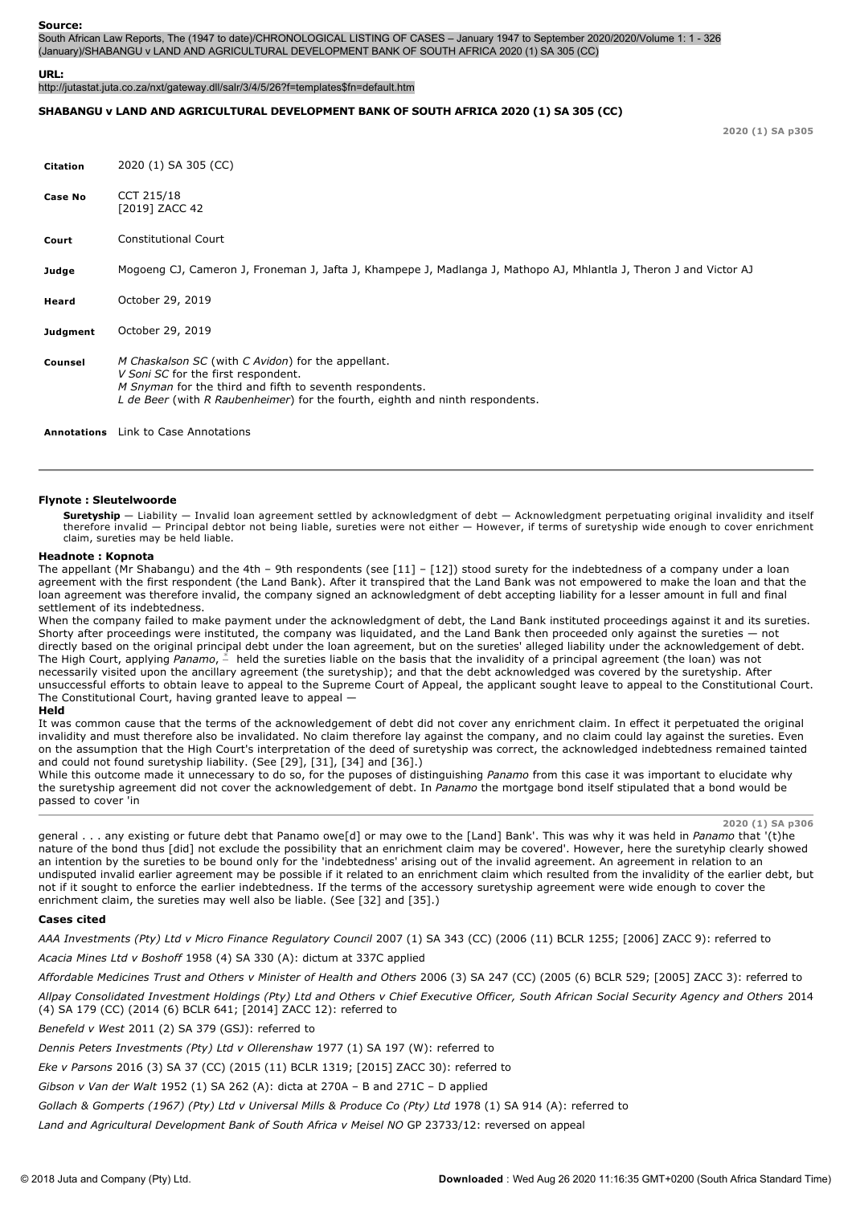South African Law Reports, The (1947 to date)/CHRONOLOGICAL LISTING OF CASES – January 1947 to September 2020/2020/Volume 1: 1 326 (January)/SHABANGU v LAND AND AGRICULTURAL DEVELOPMENT BANK OF SOUTH AFRICA 2020 (1) SA 305 (CC)

#### **URL:**

http://jutastat.juta.co.za/nxt/gateway.dll/salr/3/4/5/26?f=templates\$fn=default.htm

### **SHABANGU v LAND AND AGRICULTURAL DEVELOPMENT BANK OF SOUTH AFRICA 2020 (1) SA 305 (CC)**

**2020 (1) SA p305**

| <b>Citation</b>    | 2020 (1) SA 305 (CC)                                                                                                                                                                                                                   |
|--------------------|----------------------------------------------------------------------------------------------------------------------------------------------------------------------------------------------------------------------------------------|
| <b>Case No</b>     | CCT 215/18<br>[2019] ZACC 42                                                                                                                                                                                                           |
| Court              | <b>Constitutional Court</b>                                                                                                                                                                                                            |
| Judge              | Mogoeng CJ, Cameron J, Froneman J, Jafta J, Khampepe J, Madlanga J, Mathopo AJ, Mhlantla J, Theron J and Victor AJ                                                                                                                     |
| Heard              | October 29, 2019                                                                                                                                                                                                                       |
| Judgment           | October 29, 2019                                                                                                                                                                                                                       |
| Counsel            | M Chaskalson SC (with C Avidon) for the appellant.<br>V Soni SC for the first respondent.<br>M Snyman for the third and fifth to seventh respondents.<br>L de Beer (with R Raubenheimer) for the fourth, eighth and ninth respondents. |
| <b>Annotations</b> | Link to Case Annotations                                                                                                                                                                                                               |

### **Flynote : Sleutelwoorde**

**Suretyship** — Liability — Invalid loan agreement settled by acknowledgment of debt — Acknowledgment perpetuating original invalidity and itself therefore invalid — Principal debtor not being liable, sureties were not either — However, if terms of suretyship wide enough to cover enrichment claim, sureties may be held liable.

### **Headnote : Kopnota**

The appellant (Mr Shabangu) and the 4th – 9th respondents (see [11] – [12]) stood surety for the indebtedness of a company under a loan agreement with the first respondent (the Land Bank). After it transpired that the Land Bank was not empowered to make the loan and that the loan agreement was therefore invalid, the company signed an acknowledgment of debt accepting liability for a lesser amount in full and final settlement of its indebtedness.

When the company failed to make payment under the acknowledgment of debt, the Land Bank instituted proceedings against it and its sureties. Shorty after proceedings were instituted, the company was liquidated, and the Land Bank then proceeded only against the sureties — not directly based on the original principal debt under the loan agreement, but on the sureties' alleged liability under the acknowledgement of debt. The High Court, applying Panamo,  $\stackrel{*}{-}$  held the sureties liable on the basis that the invalidity of a principal agreement (the loan) was not necessarily visited upon the ancillary agreement (the suretyship); and that the debt acknowledged was covered by the suretyship. After unsuccessful efforts to obtain leave to appeal to the Supreme Court of Appeal, the applicant sought leave to appeal to the Constitutional Court. The Constitutional Court, having granted leave to appeal —

#### **Held**

It was common cause that the terms of the acknowledgement of debt did not cover any enrichment claim. In effect it perpetuated the original invalidity and must therefore also be invalidated. No claim therefore lay against the company, and no claim could lay against the sureties. Even on the assumption that the High Court's interpretation of the deed of suretyship was correct, the acknowledged indebtedness remained tainted and could not found suretyship liability. (See [29], [31], [34] and [36].)

While this outcome made it unnecessary to do so, for the puposes of distinguishing *Panamo* from this case it was important to elucidate why the suretyship agreement did not cover the acknowledgement of debt. In *Panamo* the mortgage bond itself stipulated that a bond would be passed to cover 'in

**2020 (1) SA p306**

general . . . any existing or future debt that Panamo owe[d] or may owe to the [Land] Bank'. This was why it was held in *Panamo* that '(t)he nature of the bond thus [did] not exclude the possibility that an enrichment claim may be covered'. However, here the suretyhip clearly showed an intention by the sureties to be bound only for the 'indebtedness' arising out of the invalid agreement. An agreement in relation to an undisputed invalid earlier agreement may be possible if it related to an enrichment claim which resulted from the invalidity of the earlier debt, but not if it sought to enforce the earlier indebtedness. If the terms of the accessory suretyship agreement were wide enough to cover the enrichment claim, the sureties may well also be liable. (See [32] and [35].)

### **Cases cited**

*AAA Investments (Pty) Ltd v Micro Finance Regulatory Council* 2007 (1) SA 343 (CC) (2006 (11) BCLR 1255; [2006] ZACC 9): referred to

*Acacia Mines Ltd v Boshoff* 1958 (4) SA 330 (A): dictum at 337C applied

*Affordable Medicines Trust and Others v Minister of Health and Others* 2006 (3) SA 247 (CC) (2005 (6) BCLR 529; [2005] ZACC 3): referred to

*Allpay Consolidated Investment Holdings (Pty) Ltd and Others v Chief Executive Officer, South African Social Security Agency and Others* 2014 (4) SA 179 (CC) (2014 (6) BCLR 641; [2014] ZACC 12): referred to

## *Benefeld v West* 2011 (2) SA 379 (GSJ): referred to

*Dennis Peters Investments (Pty) Ltd v Ollerenshaw* 1977 (1) SA 197 (W): referred to

*Eke v Parsons* 2016 (3) SA 37 (CC) (2015 (11) BCLR 1319; [2015] ZACC 30): referred to

*Gibson v Van der Walt* 1952 (1) SA 262 (A): dicta at 270A – B and 271C – D applied

*Gollach & Gomperts (1967) (Pty) Ltd v Universal Mills & Produce Co (Pty) Ltd* 1978 (1) SA 914 (A): referred to

*Land and Agricultural Development Bank of South Africa v Meisel NO* GP 23733/12: reversed on appeal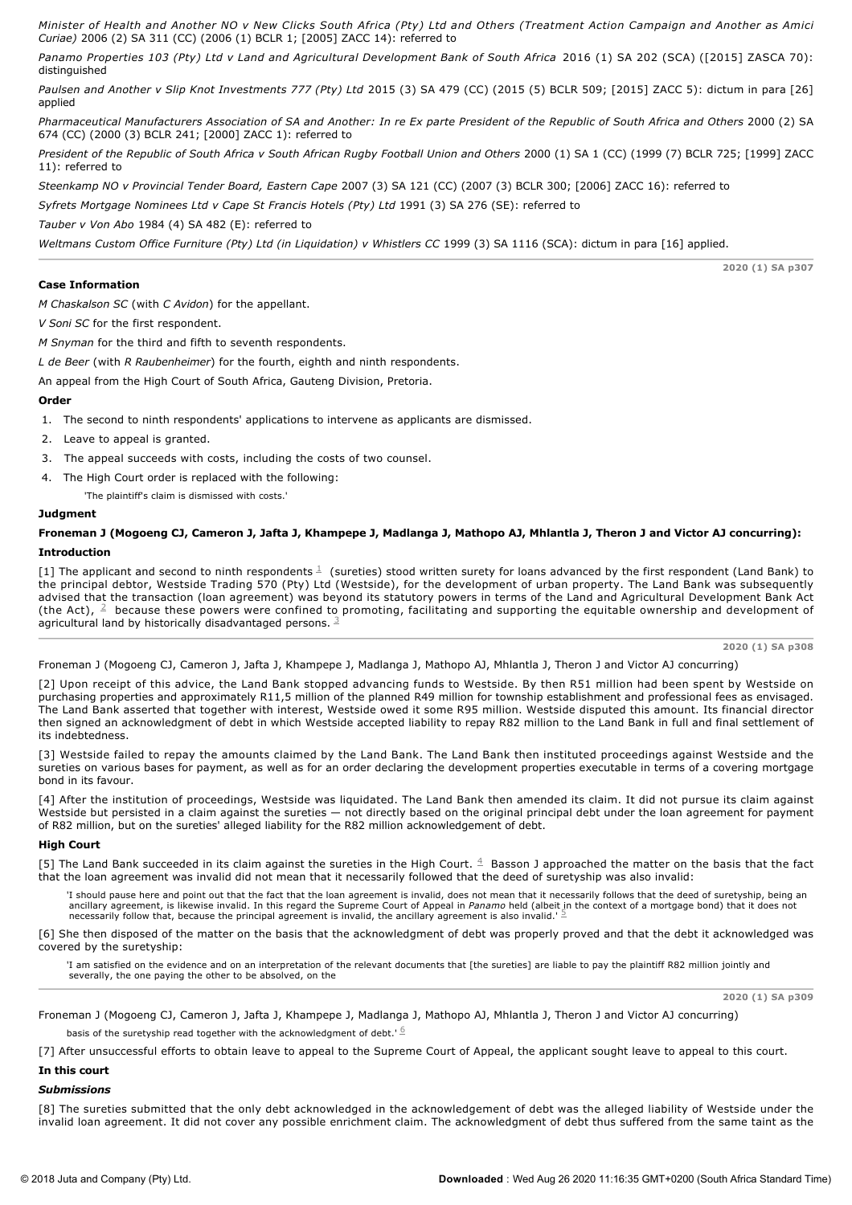*Minister of Health and Another NO v New Clicks South Africa (Pty) Ltd and Others (Treatment Action Campaign and Another as Amici Curiae)* 2006 (2) SA 311 (CC) (2006 (1) BCLR 1; [2005] ZACC 14): referred to

*Panamo Properties 103 (Pty) Ltd v Land and Agricultural Development Bank of South Africa* 2016 (1) SA 202 (SCA) ([2015] ZASCA 70): distinguished

*Paulsen and Another v Slip Knot Investments 777 (Pty) Ltd* 2015 (3) SA 479 (CC) (2015 (5) BCLR 509; [2015] ZACC 5): dictum in para [26] applied

*Pharmaceutical Manufacturers Association of SA and Another: In re Ex parte President of the Republic of South Africa and Others* 2000 (2) SA 674 (CC) (2000 (3) BCLR 241; [2000] ZACC 1): referred to

*President of the Republic of South Africa v South African Rugby Football Union and Others* 2000 (1) SA 1 (CC) (1999 (7) BCLR 725; [1999] ZACC 11): referred to

*Steenkamp NO v Provincial Tender Board, Eastern Cape* 2007 (3) SA 121 (CC) (2007 (3) BCLR 300; [2006] ZACC 16): referred to

*Syfrets Mortgage Nominees Ltd v Cape St Francis Hotels (Pty) Ltd* 1991 (3) SA 276 (SE): referred to

*Tauber v Von Abo* 1984 (4) SA 482 (E): referred to

*Weltmans Custom Office Furniture (Pty) Ltd (in Liquidation) v Whistlers CC* 1999 (3) SA 1116 (SCA): dictum in para [16] applied.

# **Case Information**

*M Chaskalson SC* (with *C Avidon*) for the appellant.

*V Soni SC* for the first respondent.

*M Snyman* for the third and fifth to seventh respondents.

*L de Beer* (with *R Raubenheimer*) for the fourth, eighth and ninth respondents.

An appeal from the High Court of South Africa, Gauteng Division, Pretoria.

# **Order**

1. The second to ninth respondents' applications to intervene as applicants are dismissed.

2. Leave to appeal is granted.

3. The appeal succeeds with costs, including the costs of two counsel.

4. The High Court order is replaced with the following:

'The plaintiff's claim is dismissed with costs.'

# **Judgment**

# **Froneman J (Mogoeng CJ, Cameron J, Jafta J, Khampepe J, Madlanga J, Mathopo AJ, Mhlantla J, Theron J and Victor AJ concurring): Introduction**

[1] The applicant and second to ninth respondents  $\frac{1}{2}$  (sureties) stood written surety for loans advanced by the first respondent (Land Bank) to the principal debtor, Westside Trading 570 (Pty) Ltd (Westside), for the development of urban property. The Land Bank was subsequently advised that the transaction (loan agreement) was beyond its statutory powers in terms of the Land and Agricultural Development Bank Act (the Act),  $\frac{2}{3}$  because these powers were confined to promoting, facilitating and supporting the equitable ownership and development of agricultural land by historically disadvantaged persons.  $3/3$ 

**2020 (1) SA p308**

**2020 (1) SA p307**

Froneman J (Mogoeng CJ, Cameron J, Jafta J, Khampepe J, Madlanga J, Mathopo AJ, Mhlantla J, Theron J and Victor AJ concurring)

[2] Upon receipt of this advice, the Land Bank stopped advancing funds to Westside. By then R51 million had been spent by Westside on purchasing properties and approximately R11,5 million of the planned R49 million for township establishment and professional fees as envisaged. The Land Bank asserted that together with interest, Westside owed it some R95 million. Westside disputed this amount. Its financial director then signed an acknowledgment of debt in which Westside accepted liability to repay R82 million to the Land Bank in full and final settlement of its indebtedness.

[3] Westside failed to repay the amounts claimed by the Land Bank. The Land Bank then instituted proceedings against Westside and the sureties on various bases for payment, as well as for an order declaring the development properties executable in terms of a covering mortgage bond in its favour.

[4] After the institution of proceedings, Westside was liquidated. The Land Bank then amended its claim. It did not pursue its claim against Westside but persisted in a claim against the sureties — not directly based on the original principal debt under the loan agreement for payment of R82 million, but on the sureties' alleged liability for the R82 million acknowledgement of debt.

## **High Court**

[5] The Land Bank succeeded in its claim against the sureties in the High Court.  $4$  Basson J approached the matter on the basis that the fact that the loan agreement was invalid did not mean that it necessarily followed that the deed of suretyship was also invalid:

'I should pause here and point out that the fact that the loan agreement is invalid, does not mean that it necessarily follows that the deed of suretyship, being an ancillary agreement, is likewise invalid. In this regard the Supreme Court of Appeal in *Panamo* held (albeit in the context of a mortgage bond) that it does not<br>necessarily follow that, because the principal agreement is

[6] She then disposed of the matter on the basis that the acknowledgment of debt was properly proved and that the debt it acknowledged was covered by the suretyship:

'I am satisfied on the evidence and on an interpretation of the relevant documents that [the sureties] are liable to pay the plaintiff R82 million jointly and severally, the one paying the other to be absolved, on the

**2020 (1) SA p309**

Froneman J (Mogoeng CJ, Cameron J, Jafta J, Khampepe J, Madlanga J, Mathopo AJ, Mhlantla J, Theron J and Victor AJ concurring) basis of the suretyship read together with the acknowledgment of debt.'  $6$ 

[7] After unsuccessful efforts to obtain leave to appeal to the Supreme Court of Appeal, the applicant sought leave to appeal to this court.

# **In this court**

### *Submissions*

[8] The sureties submitted that the only debt acknowledged in the acknowledgement of debt was the alleged liability of Westside under the invalid loan agreement. It did not cover any possible enrichment claim. The acknowledgment of debt thus suffered from the same taint as the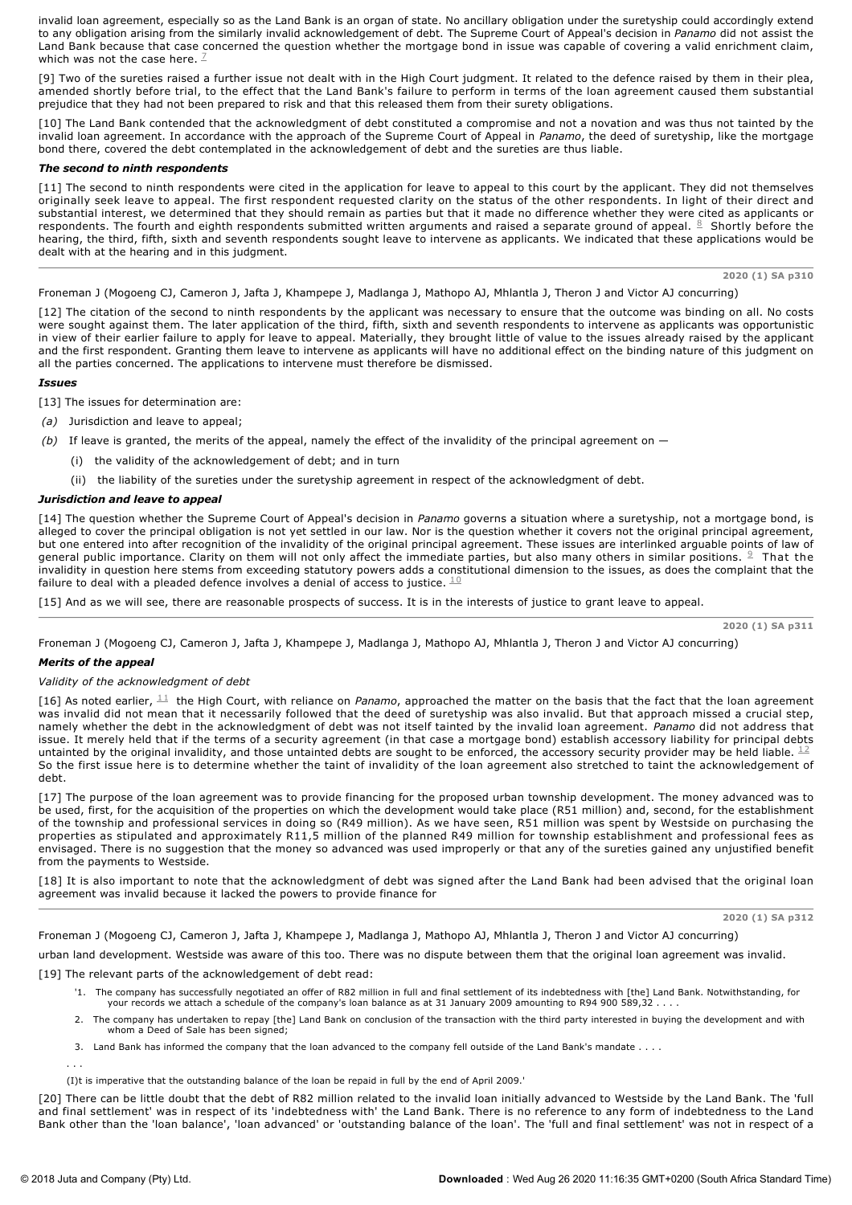invalid loan agreement, especially so as the Land Bank is an organ of state. No ancillary obligation under the suretyship could accordingly extend to any obligation arising from the similarly invalid acknowledgement of debt. The Supreme Court of Appeal's decision in *Panamo* did not assist the Land Bank because that case concerned the question whether the mortgage bond in issue was capable of covering a valid enrichment claim, which was not the case here.  $\mathbb{Z}$ 

[9] Two of the sureties raised a further issue not dealt with in the High Court judgment. It related to the defence raised by them in their plea, amended shortly before trial, to the effect that the Land Bank's failure to perform in terms of the loan agreement caused them substantial prejudice that they had not been prepared to risk and that this released them from their surety obligations.

[10] The Land Bank contended that the acknowledgment of debt constituted a compromise and not a novation and was thus not tainted by the invalid loan agreement. In accordance with the approach of the Supreme Court of Appeal in *Panamo*, the deed of suretyship, like the mortgage bond there, covered the debt contemplated in the acknowledgement of debt and the sureties are thus liable.

## *The second to ninth respondents*

[11] The second to ninth respondents were cited in the application for leave to appeal to this court by the applicant. They did not themselves originally seek leave to appeal. The first respondent requested clarity on the status of the other respondents. In light of their direct and substantial interest, we determined that they should remain as parties but that it made no difference whether they were cited as applicants or respondents. The fourth and eighth respondents submitted written arguments and raised a separate ground of appeal.  $\frac{8}{7}$  Shortly before the hearing, the third, fifth, sixth and seventh respondents sought leave to intervene as applicants. We indicated that these applications would be dealt with at the hearing and in this judgment.

**2020 (1) SA p310**

Froneman J (Mogoeng CJ, Cameron J, Jafta J, Khampepe J, Madlanga J, Mathopo AJ, Mhlantla J, Theron J and Victor AJ concurring)

[12] The citation of the second to ninth respondents by the applicant was necessary to ensure that the outcome was binding on all. No costs were sought against them. The later application of the third, fifth, sixth and seventh respondents to intervene as applicants was opportunistic in view of their earlier failure to apply for leave to appeal. Materially, they brought little of value to the issues already raised by the applicant and the first respondent. Granting them leave to intervene as applicants will have no additional effect on the binding nature of this judgment on all the parties concerned. The applications to intervene must therefore be dismissed.

## *Issues*

- [13] The issues for determination are:
- *(a)* Jurisdiction and leave to appeal;
- *(b)* If leave is granted, the merits of the appeal, namely the effect of the invalidity of the principal agreement on
	- (i) the validity of the acknowledgement of debt; and in turn
	- (ii) the liability of the sureties under the suretyship agreement in respect of the acknowledgment of debt.

## *Jurisdiction and leave to appeal*

[14] The question whether the Supreme Court of Appeal's decision in *Panamo* governs a situation where a suretyship, not a mortgage bond, is alleged to cover the principal obligation is not yet settled in our law. Nor is the question whether it covers not the original principal agreement, but one entered into after recognition of the invalidity of the original principal agreement. These issues are interlinked arguable points of law of general public importance. Clarity on them will not only affect the immediate parties, but also many others in similar positions.  $9$  That the invalidity in question here stems from exceeding statutory powers adds a constitutional dimension to the issues, as does the complaint that the failure to deal with a pleaded defence involves a denial of access to justice.  $^{\underline{10}}$ 

[15] And as we will see, there are reasonable prospects of success. It is in the interests of justice to grant leave to appeal.

**2020 (1) SA p311**

Froneman J (Mogoeng CJ, Cameron J, Jafta J, Khampepe J, Madlanga J, Mathopo AJ, Mhlantla J, Theron J and Victor AJ concurring)

## *Merits of the appeal*

## *Validity of the acknowledgment of debt*

[16] As noted earlier,  $11$  the High Court, with reliance on Panamo, approached the matter on the basis that the fact that the loan agreement was invalid did not mean that it necessarily followed that the deed of suretyship was also invalid. But that approach missed a crucial step, namely whether the debt in the acknowledgment of debt was not itself tainted by the invalid loan agreement. *Panamo* did not address that issue. It merely held that if the terms of a security agreement (in that case a mortgage bond) establish accessory liability for principal debts untainted by the original invalidity, and those untainted debts are sought to be enforced, the accessory security provider may be held liable.  $^{12}$ So the first issue here is to determine whether the taint of invalidity of the loan agreement also stretched to taint the acknowledgement of debt.

[17] The purpose of the loan agreement was to provide financing for the proposed urban township development. The money advanced was to be used, first, for the acquisition of the properties on which the development would take place (R51 million) and, second, for the establishment of the township and professional services in doing so (R49 million). As we have seen, R51 million was spent by Westside on purchasing the properties as stipulated and approximately R11,5 million of the planned R49 million for township establishment and professional fees as envisaged. There is no suggestion that the money so advanced was used improperly or that any of the sureties gained any unjustified benefit from the payments to Westside.

[18] It is also important to note that the acknowledgment of debt was signed after the Land Bank had been advised that the original loan agreement was invalid because it lacked the powers to provide finance for

**2020 (1) SA p312**

Froneman J (Mogoeng CJ, Cameron J, Jafta J, Khampepe J, Madlanga J, Mathopo AJ, Mhlantla J, Theron J and Victor AJ concurring)

urban land development. Westside was aware of this too. There was no dispute between them that the original loan agreement was invalid.

[19] The relevant parts of the acknowledgement of debt read:

- '1. The company has successfully negotiated an offer of R82 million in full and final settlement of its indebtedness with [the] Land Bank. Notwithstanding, for your records we attach a schedule of the company's loan balance as at 31 January 2009 amounting to R94 900 589,32 . . . .
- 2. The company has undertaken to repay [the] Land Bank on conclusion of the transaction with the third party interested in buying the development and with whom a Deed of Sale has been signed;
- 3. Land Bank has informed the company that the loan advanced to the company fell outside of the Land Bank's mandate . . . .
- (I)t is imperative that the outstanding balance of the loan be repaid in full by the end of April 2009.'

[20] There can be little doubt that the debt of R82 million related to the invalid loan initially advanced to Westside by the Land Bank. The 'full and final settlement' was in respect of its 'indebtedness with' the Land Bank. There is no reference to any form of indebtedness to the Land Bank other than the 'loan balance', 'loan advanced' or 'outstanding balance of the loan'. The 'full and final settlement' was not in respect of a

. . .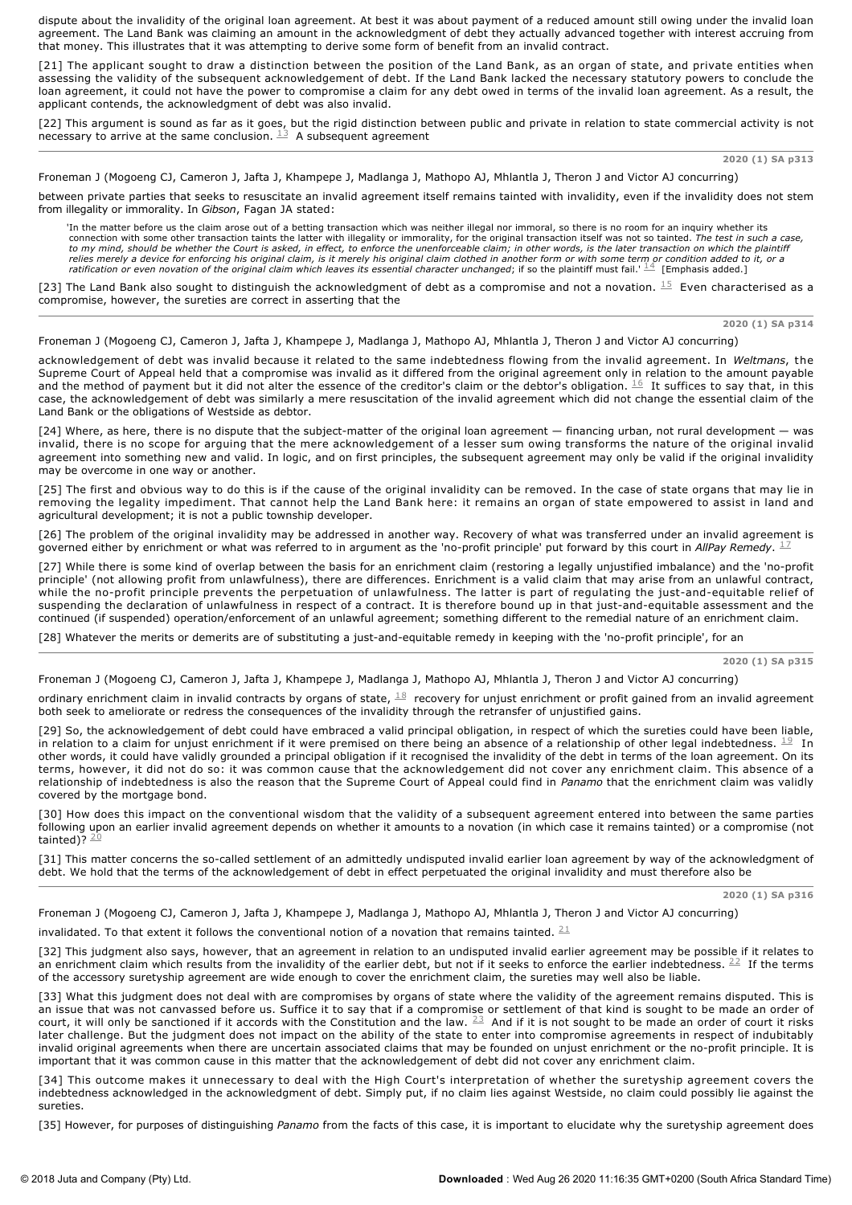dispute about the invalidity of the original loan agreement. At best it was about payment of a reduced amount still owing under the invalid loan agreement. The Land Bank was claiming an amount in the acknowledgment of debt they actually advanced together with interest accruing from that money. This illustrates that it was attempting to derive some form of benefit from an invalid contract.

[21] The applicant sought to draw a distinction between the position of the Land Bank, as an organ of state, and private entities when assessing the validity of the subsequent acknowledgement of debt. If the Land Bank lacked the necessary statutory powers to conclude the loan agreement, it could not have the power to compromise a claim for any debt owed in terms of the invalid loan agreement. As a result, the applicant contends, the acknowledgment of debt was also invalid.

[22] This argument is sound as far as it goes, but the rigid distinction between public and private in relation to state commercial activity is not necessary to arrive at the same conclusion.  $^{13}$  A subsequent agreement

**2020 (1) SA p313**

Froneman J (Mogoeng CJ, Cameron J, Jafta J, Khampepe J, Madlanga J, Mathopo AJ, Mhlantla J, Theron J and Victor AJ concurring)

between private parties that seeks to resuscitate an invalid agreement itself remains tainted with invalidity, even if the invalidity does not stem from illegality or immorality. In *Gibson*, Fagan JA stated:

'In the matter before us the claim arose out of a betting transaction which was neither illegal nor immoral, so there is no room for an inquiry whether its<br>connection with some other transaction taints the latter with ille *to my mind, should be whether the Court is asked, in effect, to enforce the unenforceable claim; in other words, is the later transaction on which the plaintiff* relies merely a device for enforcing his original claim, is it merely his original claim clothed in another form or with some term or condition added to it, or a<br>ratification or even novation of the original claim which le

[23] The Land Bank also sought to distinguish the acknowledgment of debt as a compromise and not a novation.  $15$  Even characterised as a compromise, however, the sureties are correct in asserting that the

**2020 (1) SA p314**

Froneman J (Mogoeng CJ, Cameron J, Jafta J, Khampepe J, Madlanga J, Mathopo AJ, Mhlantla J, Theron J and Victor AJ concurring)

acknowledgement of debt was invalid because it related to the same indebtedness flowing from the invalid agreement. In *Weltmans*, the Supreme Court of Appeal held that a compromise was invalid as it differed from the original agreement only in relation to the amount payable and the method of payment but it did not alter the essence of the creditor's claim or the debtor's obligation.  $\frac{16}{1}$  It suffices to say that, in this case, the acknowledgement of debt was similarly a mere resuscitation of the invalid agreement which did not change the essential claim of the Land Bank or the obligations of Westside as debtor.

[24] Where, as here, there is no dispute that the subject-matter of the original loan agreement — financing urban, not rural development — was invalid, there is no scope for arguing that the mere acknowledgement of a lesser sum owing transforms the nature of the original invalid agreement into something new and valid. In logic, and on first principles, the subsequent agreement may only be valid if the original invalidity may be overcome in one way or another.

[25] The first and obvious way to do this is if the cause of the original invalidity can be removed. In the case of state organs that may lie in removing the legality impediment. That cannot help the Land Bank here: it remains an organ of state empowered to assist in land and agricultural development; it is not a public township developer.

[26] The problem of the original invalidity may be addressed in another way. Recovery of what was transferred under an invalid agreement is governed either by enrichment or what was referred to in argument as the 'no-profit principle' put forward by this court in *AllPay Remedy*. <sup>17</sup>

[27] While there is some kind of overlap between the basis for an enrichment claim (restoring a legally unjustified imbalance) and the 'no-profit principle' (not allowing profit from unlawfulness), there are differences. Enrichment is a valid claim that may arise from an unlawful contract, while the no-profit principle prevents the perpetuation of unlawfulness. The latter is part of regulating the just-and-equitable relief of suspending the declaration of unlawfulness in respect of a contract. It is therefore bound up in that just-and-equitable assessment and the continued (if suspended) operation/enforcement of an unlawful agreement; something different to the remedial nature of an enrichment claim.

[28] Whatever the merits or demerits are of substituting a just-and-equitable remedy in keeping with the 'no-profit principle', for an

**2020 (1) SA p315**

Froneman J (Mogoeng CJ, Cameron J, Jafta J, Khampepe J, Madlanga J, Mathopo AJ, Mhlantla J, Theron J and Victor AJ concurring)

ordinary enrichment claim in invalid contracts by organs of state,  $^{\underline{18}}$  recovery for unjust enrichment or profit gained from an invalid agreement both seek to ameliorate or redress the consequences of the invalidity through the retransfer of unjustified gains.

[29] So, the acknowledgement of debt could have embraced a valid principal obligation, in respect of which the sureties could have been liable, in relation to a claim for unjust enrichment if it were premised on there being an absence of a relationship of other legal indebtedness.  $^{\underline{19}}$  In other words, it could have validly grounded a principal obligation if it recognised the invalidity of the debt in terms of the loan agreement. On its terms, however, it did not do so: it was common cause that the acknowledgement did not cover any enrichment claim. This absence of a relationship of indebtedness is also the reason that the Supreme Court of Appeal could find in *Panamo* that the enrichment claim was validly covered by the mortgage bond.

[30] How does this impact on the conventional wisdom that the validity of a subsequent agreement entered into between the same parties following upon an earlier invalid agreement depends on whether it amounts to a novation (in which case it remains tainted) or a compromise (not tainted)? <sup>20</sup>

[31] This matter concerns the so-called settlement of an admittedly undisputed invalid earlier loan agreement by way of the acknowledgment of debt. We hold that the terms of the acknowledgement of debt in effect perpetuated the original invalidity and must therefore also be

**2020 (1) SA p316**

Froneman J (Mogoeng CJ, Cameron J, Jafta J, Khampepe J, Madlanga J, Mathopo AJ, Mhlantla J, Theron J and Victor AJ concurring)

invalidated. To that extent it follows the conventional notion of a novation that remains tainted.  $\frac{21}{1}$ 

[32] This judgment also says, however, that an agreement in relation to an undisputed invalid earlier agreement may be possible if it relates to an enrichment claim which results from the invalidity of the earlier debt, but not if it seeks to enforce the earlier indebtedness.  $22$  If the terms of the accessory suretyship agreement are wide enough to cover the enrichment claim, the sureties may well also be liable.

[33] What this judgment does not deal with are compromises by organs of state where the validity of the agreement remains disputed. This is an issue that was not canvassed before us. Suffice it to say that if a compromise or settlement of that kind is sought to be made an order of court, it will only be sanctioned if it accords with the Constitution and the law.  $\frac{23}{5}$  And if it is not sought to be made an order of court it risks later challenge. But the judgment does not impact on the ability of the state to enter into compromise agreements in respect of indubitably invalid original agreements when there are uncertain associated claims that may be founded on unjust enrichment or the no-profit principle. It is important that it was common cause in this matter that the acknowledgement of debt did not cover any enrichment claim.

[34] This outcome makes it unnecessary to deal with the High Court's interpretation of whether the suretyship agreement covers the indebtedness acknowledged in the acknowledgment of debt. Simply put, if no claim lies against Westside, no claim could possibly lie against the sureties.

[35] However, for purposes of distinguishing *Panamo* from the facts of this case, it is important to elucidate why the suretyship agreement does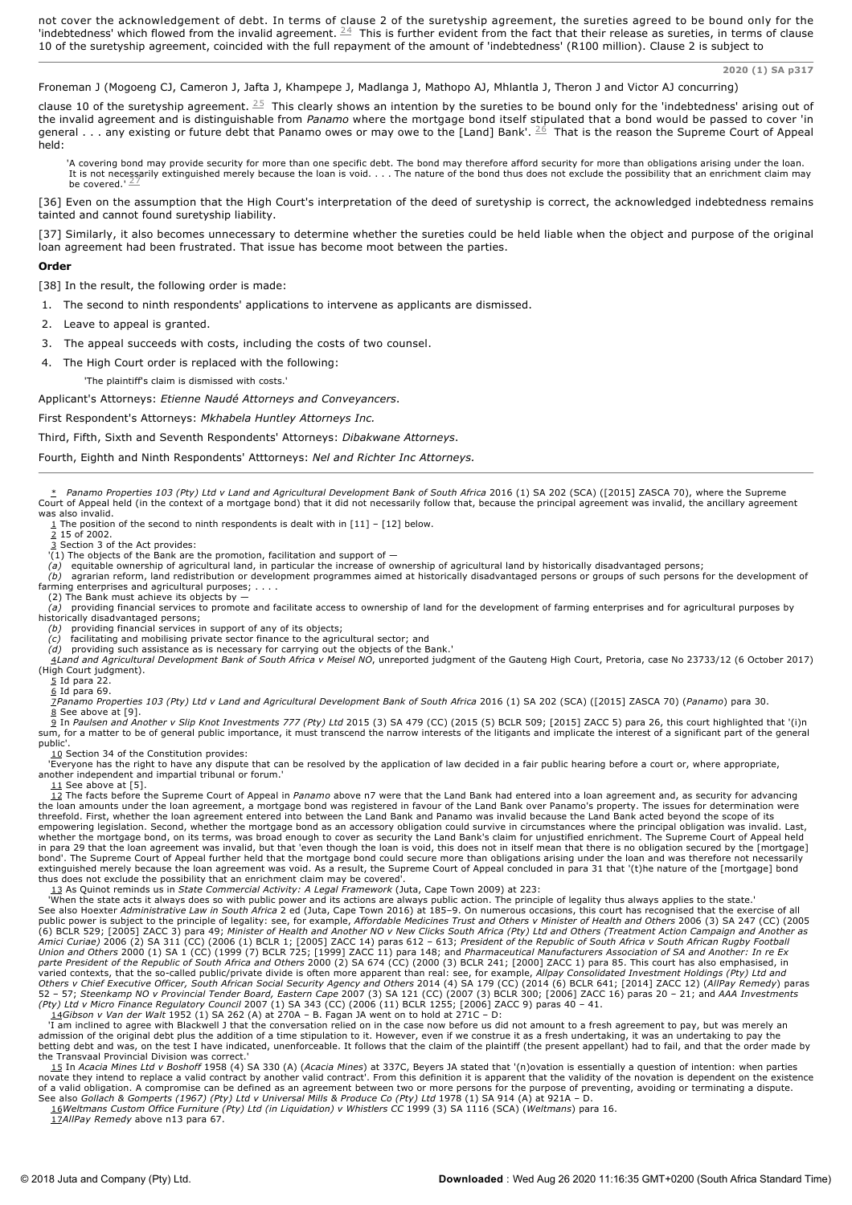not cover the acknowledgement of debt. In terms of clause 2 of the suretyship agreement, the sureties agreed to be bound only for the 'indebtedness' which flowed from the invalid agreement.  $24$  This is further evident from the fact that their release as sureties, in terms of clause 10 of the suretyship agreement, coincided with the full repayment of the amount of 'indebtedness' (R100 million). Clause 2 is subject to

**2020 (1) SA p317**

## Froneman J (Mogoeng CJ, Cameron J, Jafta J, Khampepe J, Madlanga J, Mathopo AJ, Mhlantla J, Theron J and Victor AJ concurring)

clause 10 of the suretyship agreement.  $^{25}$  This clearly shows an intention by the sureties to be bound only for the 'indebtedness' arising out of the invalid agreement and is distinguishable from *Panamo* where the mortgage bond itself stipulated that a bond would be passed to cover 'in general . . . any existing or future debt that Panamo owes or may owe to the [Land] Bank'.  $^{26}$  That is the reason the Supreme Court of Appeal held:

'A covering bond may provide security for more than one specific debt. The bond may therefore afford security for more than obligations arising under the loan.<br>It is not necessarily extinguished merely because the loan is be covered.' $27$ 

[36] Even on the assumption that the High Court's interpretation of the deed of suretyship is correct, the acknowledged indebtedness remains tainted and cannot found suretyship liability.

[37] Similarly, it also becomes unnecessary to determine whether the sureties could be held liable when the object and purpose of the original loan agreement had been frustrated. That issue has become moot between the parties.

#### **Order**

[38] In the result, the following order is made:

- 1. The second to ninth respondents' applications to intervene as applicants are dismissed.
- 2. Leave to appeal is granted.
- The appeal succeeds with costs, including the costs of two counsel.
- 4. The High Court order is replaced with the following:

'The plaintiff's claim is dismissed with costs.'

Applicant's Attorneys: *Etienne Naudé Attorneys and Conveyancers*.

First Respondent's Attorneys: *Mkhabela Huntley Attorneys Inc.*

Third, Fifth, Sixth and Seventh Respondents' Attorneys: *Dibakwane Attorneys*.

Fourth, Eighth and Ninth Respondents' Atttorneys: *Nel and Richter Inc Attorneys.*

\* *Panamo Properties 103 (Pty) Ltd v Land and Agricultural Development Bank of South Africa* 2016 (1) SA 202 (SCA) ([2015] ZASCA 70), where the Supreme Court of Appeal held (in the context of a mortgage bond) that it did not necessarily follow that, because the principal agreement was invalid, the ancillary agreement was also invalid.

<u>1</u> The position of the second to ninth respondents is dealt with in [11] – [12] below.<br><u>2</u> 15 of 2002.

3 Section 3 of the Act provides: '(1) The objects of the Bank are the promotion, facilitation and support of —

equitable ownership of agricultural land, in particular the increase of ownership of agricultural land by historically disadvantaged persons;

*(b)* agrarian reform, land redistribution or development programmes aimed at historically disadvantaged persons or groups of such persons for the development of farming enterprises and agricultural purposes; . . . .

- (2) The Bank must achieve its objects by *(a)* providing financial services to promote and facilitate access to ownership of land for the development of farming enterprises and for agricultural purposes by historically disadvantaged persons;
	- *(b)* providing financial services in support of any of its objects; *(c)* facilitating and mobilising private sector finance to the agricultural sector; and

(d) providing such assistance as is necessary for carrying out the objects of the Bank.'<br>4Land and Agricultural Development Bank of South Africa v Meisel NO, unreported judgment of the Gauteng High Court, Pretoria, case No (High Court judgment).

 $\overline{5}$  Id para 22.

 $6$  Id para 69.

<u>7</u>Panamo Properties 103 (Pty) Ltd v Land and Agricultural Development Bank of South Africa 2016 (1) SA 202 (SCA) ([2015] ZASCA 70) (Panamo) para 30.<br><u>8</u> See above at [9].

9 In *Paulsen and Another v Slip Knot Investments 777 (Pty) Ltd* 2015 (3) SA 479 (CC) (2015 (5) BCLR 509; [2015] ZACC 5) para 26, this court highlighted that '(i)n sum, for a matter to be of general public importance, it must transcend the narrow interests of the litigants and implicate the interest of a significant part of the general public'

10 Section 34 of the Constitution provides:<br>'Everyone has the right to have any dispute that can be resolved by the application of law decided in a fair public hearing before a court or, where appropriate, another independent and impartial tribunal or forum.'

11 See above at [5]. 12 The facts before the Supreme Court of Appeal in *Panamo* above n7 were that the Land Bank had entered into a loan agreement and, as security for advancing the loan amounts under the loan agreement, a mortgage bond was registered in favour of the Land Bank over Panamo's property. The issues for determination were<br>threefold. First, whether the loan agreement entered into betwe empowering legislation. Second, whether the mortgage bond as an accessory obligation could survive in circumstances where the principal obligation was invalid. Last, whether the mortgage bond, on its terms, was broad enough to cover as security the Land Bank's claim for unjustified enrichment. The Supreme Court of Appeal held<br>in para 29 that the loan agreement was invalid, but that 'ev bond'. The Supreme Court of Appeal further held that the mortgage bond could secure more than obligations arising under the loan and was therefore not necessarily<br>extinguished merely because the loan agreement was void. As thus does not exclude the possibility that an enrichment claim may be covered'.

13 As Quinot reminds us in *State Commercial Activity: A Legal Framework* (Juta, Cape Town 2009) at 223:<br>When the state acts it always does so with public power and its actions are always public action. The principle of le (6) BCLR 529; [2005] ZACC 3) para 49; Minister of Health and Another NO v New Clicks South Africa (Pty) Ltd and Others (Treatment Action Campaign and Another as<br>Amici Curiae) 2006 (2) SA 311 (CC) (2006 (1) BCLR 1; [2005] Z

<u>14</u>Gibson v Van der Walt 1952 (1) SA 262 (A) at 270A – B. Fagan JA went on to hold at 271C – D:<br>'I am inclined to agree with Blackwell J that the conversation relied on in the case now before us did not amount to a fresh admission of the original debt plus the addition of a time stipulation to it. However, even if we construe it as a fresh undertaking, it was an undertaking to pay the betting debt and was, on the test I have indicated, unenforceable. It follows that the claim of the plaintiff (the present appellant) had to fail, and that the order made by

the Transvaal Provincial Division was correct."<br>\_ <u>15</u> In *Acacia Mines Ltd v Boshoff* 1958 (4) GA 330 (A) (*Acacia Mines*) at 337C, Beyers JA stated that '(n)ovation is essentially a question of intention: when parties<br>no of a valid obligation. A compromise can be defined as an agreement between two or more persons for the purpose of preventing, avoiding or terminating a dispute.<br>See also G*ollach & Gomperts (1967) (Pty) Ltd v Universal Mil* 

17*AllPay Remedy* above n13 para 67.